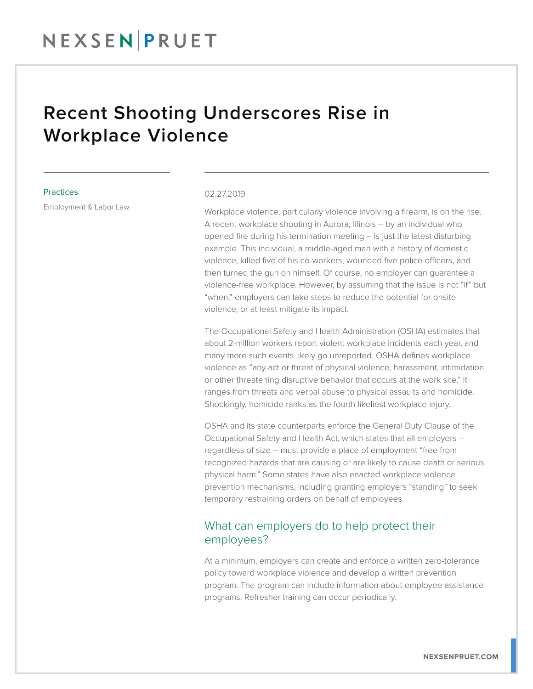## Recent Shooting Underscores Rise in Workplace Violence

#### **Practices**

Employment & Labor Law

#### 02.27.2019

Workplace violence, particularly violence involving a firearm, is on the rise. A recent workplace shooting in Aurora, Illinois – by an individual who opened fire during his termination meeting – is just the latest disturbing example. This individual, a middle-aged man with a history of domestic violence, killed five of his co-workers, wounded five police officers, and then turned the gun on himself. Of course, no employer can guarantee a violence-free workplace. However, by assuming that the issue is not "if" but "when," employers can take steps to reduce the potential for onsite violence, or at least mitigate its impact.

The Occupational Safety and Health Administration (OSHA) estimates that about 2-million workers report violent workplace incidents each year, and many more such events likely go unreported. OSHA defines workplace violence as "any act or threat of physical violence, harassment, intimidation, or other threatening disruptive behavior that occurs at the work site." It ranges from threats and verbal abuse to physical assaults and homicide. Shockingly, homicide ranks as the fourth likeliest workplace injury.

OSHA and its state counterparts enforce the General Duty Clause of the Occupational Safety and Health Act, which states that all employers – regardless of size – must provide a place of employment "free from recognized hazards that are causing or are likely to cause death or serious physical harm." Some states have also enacted workplace violence prevention mechanisms, including granting employers "standing" to seek temporary restraining orders on behalf of employees.

### What can employers do to help protect their employees?

At a minimum, employers can create and enforce a written zero-tolerance policy toward workplace violence and develop a written prevention program. The program can include information about employee assistance programs. Refresher training can occur periodically.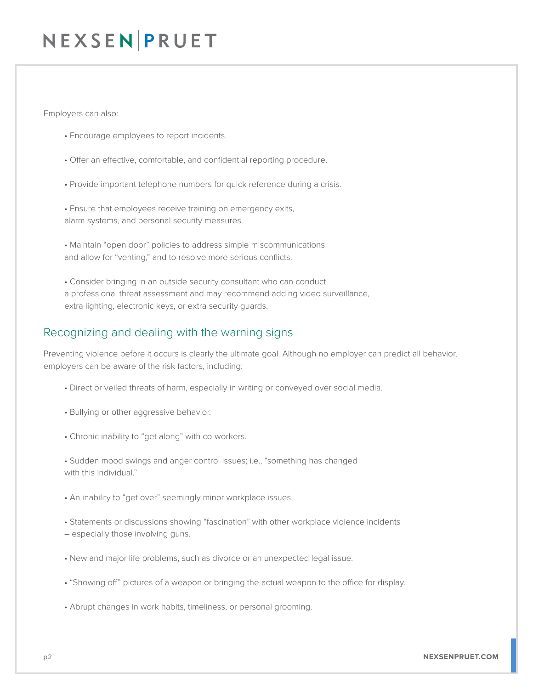# NEXSEN PRUET

Employers can also:

- Encourage employees to report incidents.
- Offer an effective, comfortable, and confidential reporting procedure.
- Provide important telephone numbers for quick reference during a crisis.

• Ensure that employees receive training on emergency exits, alarm systems, and personal security measures.

• Maintain "open door" policies to address simple miscommunications and allow for "venting," and to resolve more serious conflicts.

• Consider bringing in an outside security consultant who can conduct a professional threat assessment and may recommend adding video surveillance, extra lighting, electronic keys, or extra security guards.

### Recognizing and dealing with the warning signs

Preventing violence before it occurs is clearly the ultimate goal. Although no employer can predict all behavior, employers can be aware of the risk factors, including:

- Direct or veiled threats of harm, especially in writing or conveyed over social media.
- Bullying or other aggressive behavior.
- Chronic inability to "get along" with co-workers.

• Sudden mood swings and anger control issues; i.e., "something has changed with this individual."

- An inability to "get over" seemingly minor workplace issues.
- Statements or discussions showing "fascination" with other workplace violence incidents
- especially those involving guns.
- New and major life problems, such as divorce or an unexpected legal issue.
- "Showing off" pictures of a weapon or bringing the actual weapon to the office for display.
- Abrupt changes in work habits, timeliness, or personal grooming.